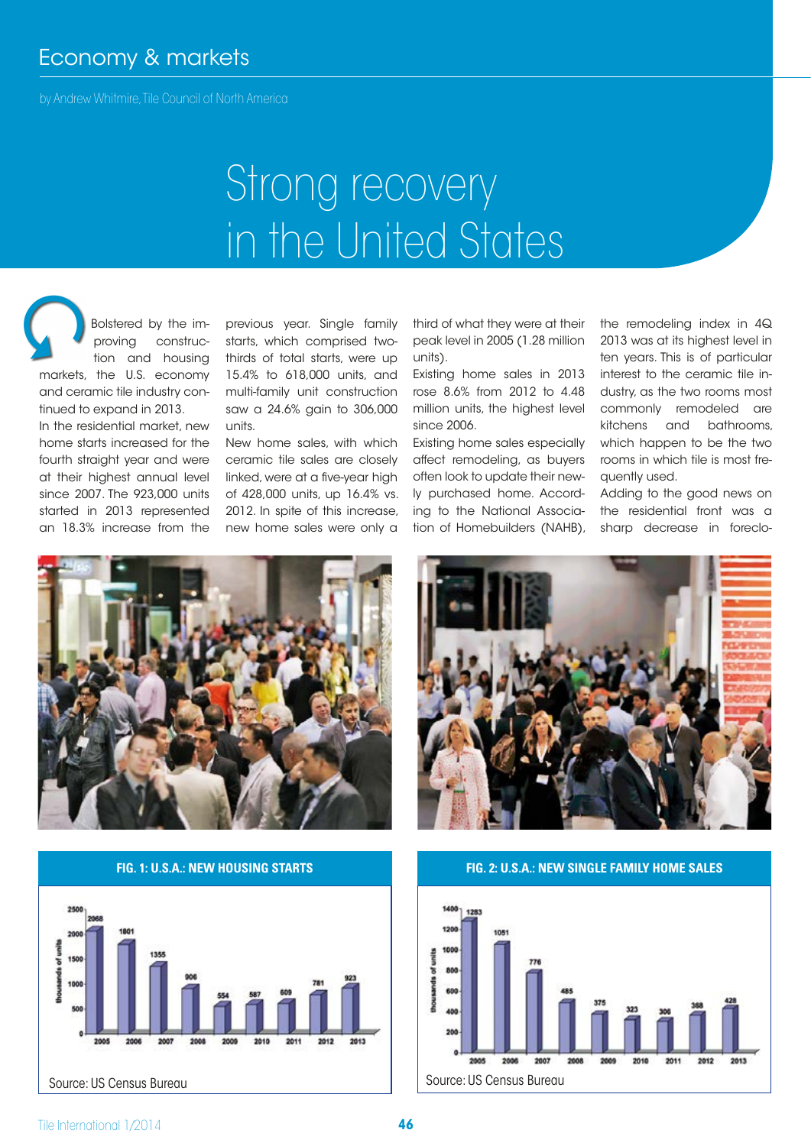## Economy & markets

by Andrew Whitmire, Tile Council of North America

# Strong recovery in the United States

Bolstered by the improving construction and housing markets, the U.S. economy  $\Omega$ 

and ceramic tile industry continued to expand in 2013.

In the residential market, new home starts increased for the fourth straight year and were at their highest annual level since 2007. The 923,000 units started in 2013 represented an 18.3% increase from the

previous year. Single family starts, which comprised twothirds of total starts, were up 15.4% to 618,000 units, and multi-family unit construction saw a 24.6% gain to 306,000 units.

New home sales, with which ceramic tile sales are closely linked, were at a five-year high of 428,000 units, up 16.4% vs. 2012. In spite of this increase, new home sales were only a

third of what they were at their peak level in 2005 (1.28 million units).

Existing home sales in 2013 rose 8.6% from 2012 to 4.48 million units, the highest level since 2006.

Existing home sales especially affect remodeling, as buyers often look to update their newly purchased home. According to the National Association of Homebuilders (NAHB),

the remodeling index in 4Q 2013 was at its highest level in ten years. This is of particular interest to the ceramic tile industry, as the two rooms most commonly remodeled are kitchens and bathrooms, which happen to be the two rooms in which tile is most frequently used.

Adding to the good news on the residential front was a sharp decrease in foreclo-



**FIG. 1: U.S.A.: NEW HOUSING STARTS**





**FIG. 2: U.S.A.: NEW SINGLE FAMILY HOME SALES**

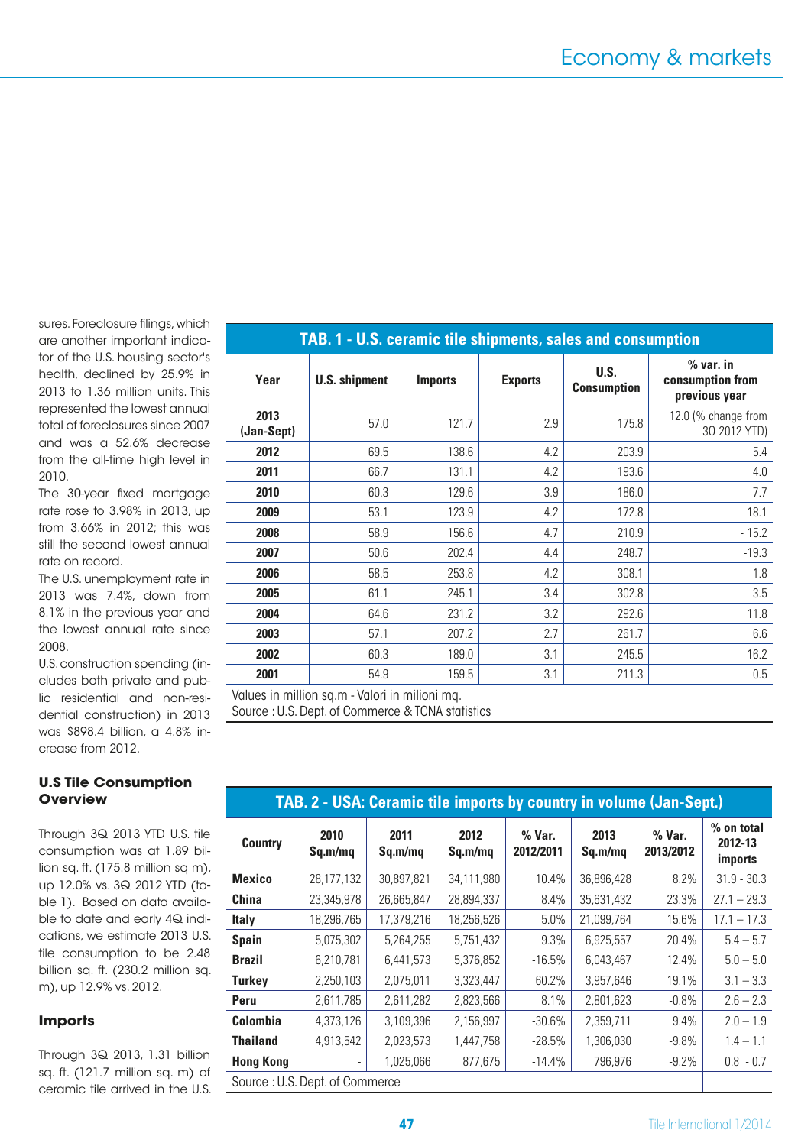sures. Foreclosure filings, which are another important indicator of the U.S. housing sector's health, declined by 25.9% in 2013 to 1.36 million units. This represented the lowest annual total of foreclosures since 2007 and was a 52.6% decrease from the all-time high level in 2010.

The 30-year fixed mortgage rate rose to 3.98% in 2013, up from 3.66% in 2012; this was still the second lowest annual rate on record.

The U.S. unemployment rate in 2013 was 7.4%, down from 8.1% in the previous year and the lowest annual rate since 2008.

U.S. construction spending (includes both private and public residential and non-residential construction) in 2013 was \$898.4 billion, a 4.8% increase from 2012.

### **U.S Tile Consumption Overview**

Through 3Q 2013 YTD U.S. tile consumption was at 1.89 billion sq. ft. (175.8 million sq m), up 12.0% vs. 3Q 2012 YTD (table 1). Based on data available to date and early 4Q indications, we estimate 2013 U.S. tile consumption to be 2.48 billion sq. ft. (230.2 million sq. m), up 12.9% vs. 2012.

#### **Imports**

Through 3Q 2013, 1.31 billion sq. ft. (121.7 million sq. m) of ceramic tile arrived in the U.S.

| TAB. 1 - U.S. ceramic tile shipments, sales and consumption |                      |                |                |                            |                                                  |  |  |
|-------------------------------------------------------------|----------------------|----------------|----------------|----------------------------|--------------------------------------------------|--|--|
| Year                                                        | <b>U.S. shipment</b> | <b>Imports</b> | <b>Exports</b> | U.S.<br><b>Consumption</b> | $%$ var. in<br>consumption from<br>previous year |  |  |
| 2013<br>(Jan-Sept)                                          | 57.0                 | 121.7          | 2.9            | 175.8                      | 12.0 (% change from<br>30 2012 YTD)              |  |  |
| 2012                                                        | 69.5                 | 138.6          | 4.2            | 203.9                      | 5.4                                              |  |  |
| 2011                                                        | 66.7                 | 131.1          | 4.2            | 193.6                      | 4.0                                              |  |  |
| 2010                                                        | 60.3                 | 129.6          | 3.9            | 186.0                      | 7.7                                              |  |  |
| 2009                                                        | 53.1                 | 123.9          | 4.2            | 172.8                      | $-18.1$                                          |  |  |
| 2008                                                        | 58.9                 | 156.6          | 4.7            | 210.9                      | $-15.2$                                          |  |  |
| 2007                                                        | 50.6                 | 202.4          | 4.4            | 248.7                      | $-19.3$                                          |  |  |
| 2006                                                        | 58.5                 | 253.8          | 4.2            | 308.1                      | 1.8                                              |  |  |
| 2005                                                        | 61.1                 | 245.1          | 3.4            | 302.8                      | 3.5                                              |  |  |
| 2004                                                        | 64.6                 | 231.2          | 3.2            | 292.6                      | 11.8                                             |  |  |
| 2003                                                        | 57.1                 | 207.2          | 2.7            | 261.7                      | 6.6                                              |  |  |
| 2002                                                        | 60.3                 | 189.0          | 3.1            | 245.5                      | 16.2                                             |  |  |
| 2001                                                        | 54.9                 | 159.5          | 3.1            | 211.3                      | 0.5                                              |  |  |
| Values in million sq.m - Valori in milioni mq.              |                      |                |                |                            |                                                  |  |  |

Source : U.S. Dept. of Commerce & TCNA statistics

| <b>TAB. 2 - USA: Ceramic tile imports by country in volume (Jan-Sept.)</b> |  |
|----------------------------------------------------------------------------|--|
|                                                                            |  |

| <b>Country</b>                 | 2010<br>Sq.m/mq | 2011<br>Sq.m/mq | 2012<br>Sq.m/mq | % Var.<br>2012/2011 | 2013<br>Sq.m/mq | % Var.<br>2013/2012 | % on total<br>2012-13<br><i>imports</i> |
|--------------------------------|-----------------|-----------------|-----------------|---------------------|-----------------|---------------------|-----------------------------------------|
| <b>Mexico</b>                  | 28,177,132      | 30,897,821      | 34,111,980      | 10.4%               | 36,896,428      | 8.2%                | $31.9 - 30.3$                           |
| <b>China</b>                   | 23,345,978      | 26,665,847      | 28,894,337      | 8.4%                | 35,631,432      | 23.3%               | $27.1 - 29.3$                           |
| <b>Italy</b>                   | 18,296,765      | 17,379,216      | 18,256,526      | 5.0%                | 21,099,764      | 15.6%               | $17.1 - 17.3$                           |
| <b>Spain</b>                   | 5,075,302       | 5,264,255       | 5,751,432       | 9.3%                | 6,925,557       | 20.4%               | $5.4 - 5.7$                             |
| <b>Brazil</b>                  | 6,210,781       | 6,441,573       | 5,376,852       | $-16.5%$            | 6,043,467       | 12.4%               | $5.0 - 5.0$                             |
| <b>Turkey</b>                  | 2,250,103       | 2,075,011       | 3,323,447       | 60.2%               | 3,957,646       | 19.1%               | $3.1 - 3.3$                             |
| <b>Peru</b>                    | 2,611,785       | 2,611,282       | 2,823,566       | 8.1%                | 2,801,623       | $-0.8\%$            | $2.6 - 2.3$                             |
| <b>Colombia</b>                | 4,373,126       | 3,109,396       | 2,156,997       | $-30.6%$            | 2,359,711       | 9.4%                | $2.0 - 1.9$                             |
| <b>Thailand</b>                | 4,913,542       | 2,023,573       | 1,447,758       | $-28.5%$            | 1,306,030       | $-9.8\%$            | $1.4 - 1.1$                             |
| <b>Hong Kong</b>               |                 | 1,025,066       | 877,675         | $-14.4%$            | 796,976         | $-9.2\%$            | $0.8 - 0.7$                             |
| Source: U.S. Dept. of Commerce |                 |                 |                 |                     |                 |                     |                                         |